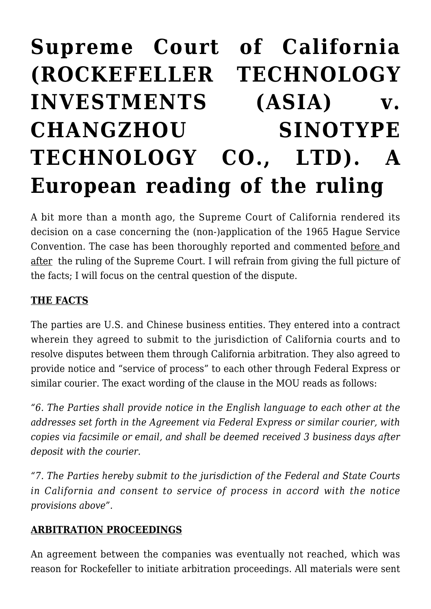# **[Supreme Court of California](https://conflictoflaws.net/2020/supreme-court-of-california-rockefeller-technology-investments-asia-v-changzhou-sinotype-technology-co-ltd-a-european-reading-of-the-ruling/) [\(ROCKEFELLER TECHNOLOGY](https://conflictoflaws.net/2020/supreme-court-of-california-rockefeller-technology-investments-asia-v-changzhou-sinotype-technology-co-ltd-a-european-reading-of-the-ruling/) [INVESTMENTS \(ASIA\) v.](https://conflictoflaws.net/2020/supreme-court-of-california-rockefeller-technology-investments-asia-v-changzhou-sinotype-technology-co-ltd-a-european-reading-of-the-ruling/) [CHANGZHOU SINOTYPE](https://conflictoflaws.net/2020/supreme-court-of-california-rockefeller-technology-investments-asia-v-changzhou-sinotype-technology-co-ltd-a-european-reading-of-the-ruling/) [TECHNOLOGY CO., LTD\). A](https://conflictoflaws.net/2020/supreme-court-of-california-rockefeller-technology-investments-asia-v-changzhou-sinotype-technology-co-ltd-a-european-reading-of-the-ruling/) [European reading of the ruling](https://conflictoflaws.net/2020/supreme-court-of-california-rockefeller-technology-investments-asia-v-changzhou-sinotype-technology-co-ltd-a-european-reading-of-the-ruling/)**

A bit more than a month ago, the Supreme Court of California rendered its decision on a case concerning the (non-)application of the 1965 Hague Service Convention. The case has been thoroughly reported and commented [before a](https://www.google.com/url?sa=t&rct=j&q=&esrc=s&source=web&cd=1&cad=rja&uact=8&ved=2ahUKEwjo5-yWhrbpAhVPDewKHZ1WDaUQFjAAegQIARAB&url=https%3A%2F%2Flawreview.law.ucdavis.edu%2Fonline%2F53%2Ffiles%2F53-online-Coyle-Gardner-Effron.pdf&usg=AOvVaw09hoHdcK-WnpZ8JlsOASz-)nd [after](https://lettersblogatory.com/2020/04/13/case-of-the-day-rockefeller-v-changzhou-sinotype/) the ruling of the Supreme Court. I will refrain from giving the full picture of the facts; I will focus on the central question of the dispute.

#### **THE FACTS**

The parties are U.S. and Chinese business entities. They entered into a contract wherein they agreed to submit to the jurisdiction of California courts and to resolve disputes between them through California arbitration. They also agreed to provide notice and "service of process" to each other through Federal Express or similar courier. The exact wording of the clause in the MOU reads as follows:

*"6. The Parties shall provide notice in the English language to each other at the addresses set forth in the Agreement via Federal Express or similar courier, with copies via facsimile or email, and shall be deemed received 3 business days after deposit with the courier.*

*"7. The Parties hereby submit to the jurisdiction of the Federal and State Courts in California and consent to service of process in accord with the notice provisions above".*

#### **ARBITRATION PROCEEDINGS**

An agreement between the companies was eventually not reached, which was reason for Rockefeller to initiate arbitration proceedings. All materials were sent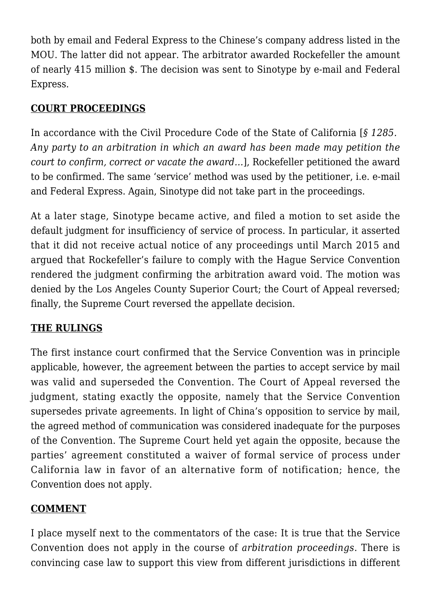both by email and Federal Express to the Chinese's company address listed in the MOU. The latter did not appear. The arbitrator awarded Rockefeller the amount of nearly 415 million \$. The decision was sent to Sinotype by e-mail and Federal Express.

### **COURT PROCEEDINGS**

In accordance with the Civil Procedure Code of the State of California [*§ 1285. Any party to an arbitration in which an award has been made may petition the court to confirm, correct or vacate the award…*], Rockefeller petitioned the award to be confirmed. The same 'service' method was used by the petitioner, i.e. e-mail and Federal Express. Again, Sinotype did not take part in the proceedings.

At a later stage, Sinotype became active, and filed a motion to set aside the default judgment for insufficiency of service of process. In particular, it asserted that it did not receive actual notice of any proceedings until March 2015 and argued that Rockefeller's failure to comply with the Hague Service Convention rendered the judgment confirming the arbitration award void. The motion was denied by the Los Angeles County Superior Court; the Court of Appeal reversed; finally, the Supreme Court reversed the appellate decision.

## **THE RULINGS**

The first instance court confirmed that the Service Convention was in principle applicable, however, the agreement between the parties to accept service by mail was valid and superseded the Convention. The Court of Appeal reversed the judgment, stating exactly the opposite, namely that the Service Convention supersedes private agreements. In light of China's opposition to service by mail, the agreed method of communication was considered inadequate for the purposes of the Convention. The Supreme Court held yet again the opposite, because the parties' agreement constituted a waiver of formal service of process under California law in favor of an alternative form of notification; hence, the Convention does not apply.

#### **COMMENT**

I place myself next to the commentators of the case: It is true that the Service Convention does not apply in the course of *arbitration proceedings*. There is convincing case law to support this view from different jurisdictions in different